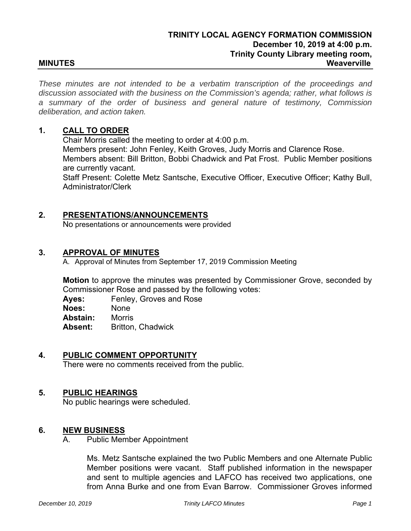*These minutes are not intended to be a verbatim transcription of the proceedings and discussion associated with the business on the Commission's agenda; rather, what follows is a summary of the order of business and general nature of testimony, Commission deliberation, and action taken.*

# **1. CALL TO ORDER**

Chair Morris called the meeting to order at 4:00 p.m. Members present: John Fenley, Keith Groves, Judy Morris and Clarence Rose. Members absent: Bill Britton, Bobbi Chadwick and Pat Frost. Public Member positions are currently vacant. Staff Present: Colette Metz Santsche, Executive Officer, Executive Officer; Kathy Bull,

Administrator/Clerk

# **2. PRESENTATIONS/ANNOUNCEMENTS**

No presentations or announcements were provided

### **3. APPROVAL OF MINUTES**

A. Approval of Minutes from September 17, 2019 Commission Meeting

**Motion** to approve the minutes was presented by Commissioner Grove, seconded by Commissioner Rose and passed by the following votes:

**Ayes:** Fenley, Groves and Rose

**Noes:** None

**Abstain:** Morris

**Absent:** Britton, Chadwick

# **4. PUBLIC COMMENT OPPORTUNITY**

There were no comments received from the public.

### **5. PUBLIC HEARINGS**

No public hearings were scheduled.

### **6. NEW BUSINESS**

A. Public Member Appointment

Ms. Metz Santsche explained the two Public Members and one Alternate Public Member positions were vacant. Staff published information in the newspaper and sent to multiple agencies and LAFCO has received two applications, one from Anna Burke and one from Evan Barrow. Commissioner Groves informed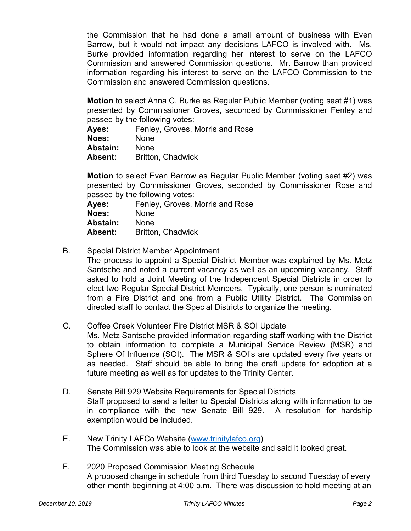the Commission that he had done a small amount of business with Even Barrow, but it would not impact any decisions LAFCO is involved with. Ms. Burke provided information regarding her interest to serve on the LAFCO Commission and answered Commission questions. Mr. Barrow than provided information regarding his interest to serve on the LAFCO Commission to the Commission and answered Commission questions.

**Motion** to select Anna C. Burke as Regular Public Member (voting seat #1) was presented by Commissioner Groves, seconded by Commissioner Fenley and passed by the following votes:

- **Ayes:** Fenley, Groves, Morris and Rose
- **Noes:** None

**Abstain:** None

**Absent:** Britton, Chadwick

**Motion** to select Evan Barrow as Regular Public Member (voting seat #2) was presented by Commissioner Groves, seconded by Commissioner Rose and passed by the following votes:

**Ayes:** Fenley, Groves, Morris and Rose **Noes:** None **Abstain:** None **Absent:** Britton, Chadwick

B. Special District Member Appointment

The process to appoint a Special District Member was explained by Ms. Metz Santsche and noted a current vacancy as well as an upcoming vacancy. Staff asked to hold a Joint Meeting of the Independent Special Districts in order to elect two Regular Special District Members. Typically, one person is nominated from a Fire District and one from a Public Utility District. The Commission directed staff to contact the Special Districts to organize the meeting.

C. Coffee Creek Volunteer Fire District MSR & SOI Update

Ms. Metz Santsche provided information regarding staff working with the District to obtain information to complete a Municipal Service Review (MSR) and Sphere Of Influence (SOI). The MSR & SOI's are updated every five years or as needed. Staff should be able to bring the draft update for adoption at a future meeting as well as for updates to the Trinity Center.

- D. Senate Bill 929 Website Requirements for Special Districts Staff proposed to send a letter to Special Districts along with information to be in compliance with the new Senate Bill 929. A resolution for hardship exemption would be included.
- E. New Trinity LAFCo Website (www.trinitylafco.org) The Commission was able to look at the website and said it looked great.
- F. 2020 Proposed Commission Meeting Schedule A proposed change in schedule from third Tuesday to second Tuesday of every other month beginning at 4:00 p.m. There was discussion to hold meeting at an